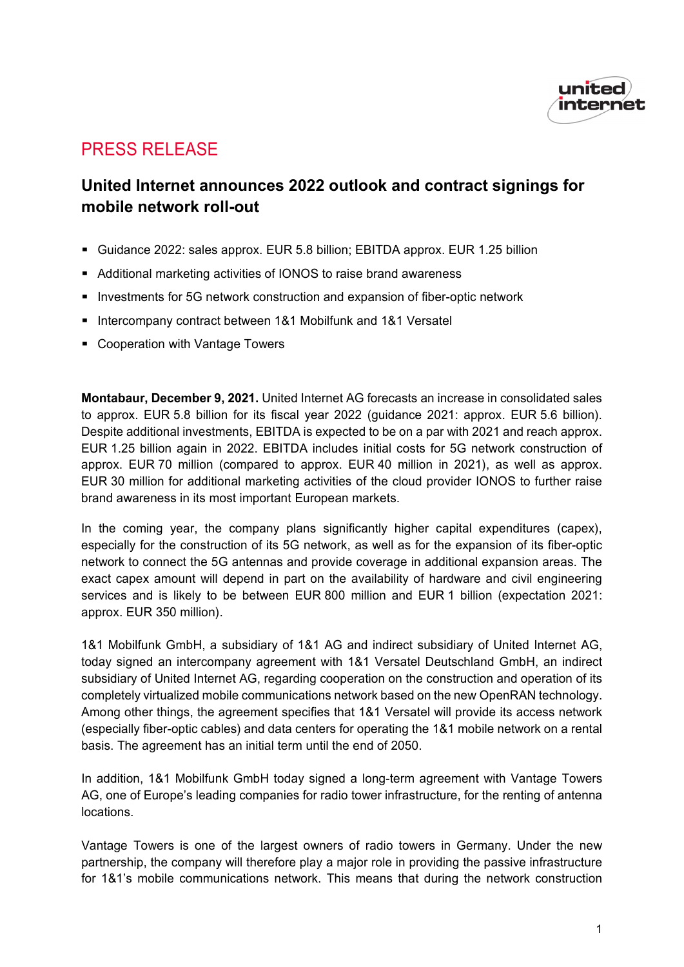

# PRESS RELEASE

## **United Internet announces 2022 outlook and contract signings for mobile network roll-out**

- Guidance 2022: sales approx. EUR 5.8 billion; EBITDA approx. EUR 1.25 billion
- Additional marketing activities of IONOS to raise brand awareness
- Investments for 5G network construction and expansion of fiber-optic network
- Intercompany contract between 1&1 Mobilfunk and 1&1 Versatel
- **EX Cooperation with Vantage Towers**

**Montabaur, December 9, 2021.** United Internet AG forecasts an increase in consolidated sales to approx. EUR 5.8 billion for its fiscal year 2022 (guidance 2021: approx. EUR 5.6 billion). Despite additional investments, EBITDA is expected to be on a par with 2021 and reach approx. EUR 1.25 billion again in 2022. EBITDA includes initial costs for 5G network construction of approx. EUR 70 million (compared to approx. EUR 40 million in 2021), as well as approx. EUR 30 million for additional marketing activities of the cloud provider IONOS to further raise brand awareness in its most important European markets.

In the coming year, the company plans significantly higher capital expenditures (capex), especially for the construction of its 5G network, as well as for the expansion of its fiber-optic network to connect the 5G antennas and provide coverage in additional expansion areas. The exact capex amount will depend in part on the availability of hardware and civil engineering services and is likely to be between EUR 800 million and EUR 1 billion (expectation 2021: approx. EUR 350 million).

1&1 Mobilfunk GmbH, a subsidiary of 1&1 AG and indirect subsidiary of United Internet AG, today signed an intercompany agreement with 1&1 Versatel Deutschland GmbH, an indirect subsidiary of United Internet AG, regarding cooperation on the construction and operation of its completely virtualized mobile communications network based on the new OpenRAN technology. Among other things, the agreement specifies that 1&1 Versatel will provide its access network (especially fiber-optic cables) and data centers for operating the 1&1 mobile network on a rental basis. The agreement has an initial term until the end of 2050.

In addition, 1&1 Mobilfunk GmbH today signed a long-term agreement with Vantage Towers AG, one of Europe's leading companies for radio tower infrastructure, for the renting of antenna locations.

Vantage Towers is one of the largest owners of radio towers in Germany. Under the new partnership, the company will therefore play a major role in providing the passive infrastructure for 1&1's mobile communications network. This means that during the network construction